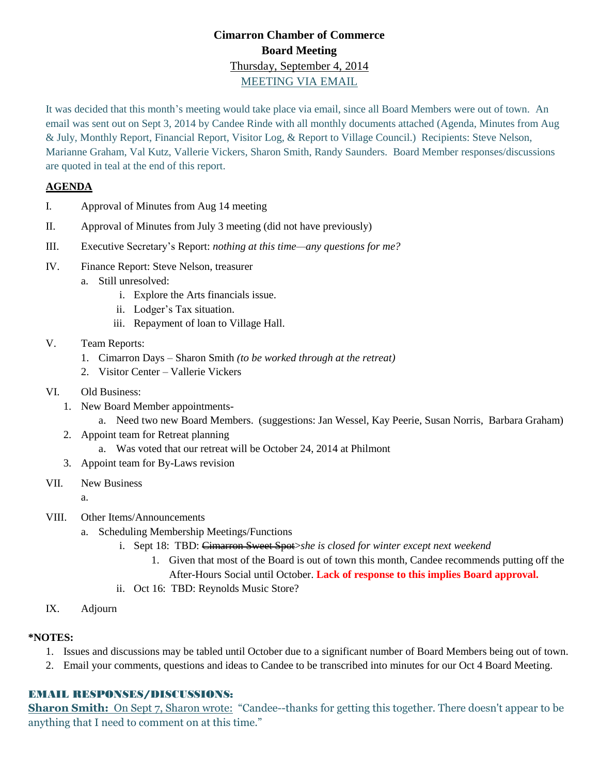# **Cimarron Chamber of Commerce Board Meeting** Thursday, September 4, 2014 MEETING VIA EMAIL

It was decided that this month's meeting would take place via email, since all Board Members were out of town. An email was sent out on Sept 3, 2014 by Candee Rinde with all monthly documents attached (Agenda, Minutes from Aug & July, Monthly Report, Financial Report, Visitor Log, & Report to Village Council.) Recipients: Steve Nelson, Marianne Graham, Val Kutz, Vallerie Vickers, Sharon Smith, Randy Saunders. Board Member responses/discussions are quoted in teal at the end of this report.

### **AGENDA**

- I. Approval of Minutes from Aug 14 meeting
- II. Approval of Minutes from July 3 meeting (did not have previously)
- III. Executive Secretary's Report: *nothing at this time—any questions for me?*
- IV. Finance Report: Steve Nelson, treasurer
	- a. Still unresolved:
		- i. Explore the Arts financials issue.
		- ii. Lodger's Tax situation.
		- iii. Repayment of loan to Village Hall.

#### V. Team Reports:

- 1. Cimarron Days Sharon Smith *(to be worked through at the retreat)*
- 2. Visitor Center Vallerie Vickers
- VI. Old Business:
	- 1. New Board Member appointments
		- a. Need two new Board Members. (suggestions: Jan Wessel, Kay Peerie, Susan Norris, Barbara Graham)
	- 2. Appoint team for Retreat planning
		- a. Was voted that our retreat will be October 24, 2014 at Philmont
	- 3. Appoint team for By-Laws revision
- VII. New Business

a.

- VIII. Other Items/Announcements
	- a. Scheduling Membership Meetings/Functions
		- i. Sept 18: TBD: Cimarron Sweet Spot>*she is closed for winter except next weekend*
			- 1. Given that most of the Board is out of town this month, Candee recommends putting off the After-Hours Social until October. **Lack of response to this implies Board approval.**
		- ii. Oct 16: TBD: Reynolds Music Store?
- IX. Adjourn

#### **\*NOTES:**

- 1. Issues and discussions may be tabled until October due to a significant number of Board Members being out of town.
- 2. Email your comments, questions and ideas to Candee to be transcribed into minutes for our Oct 4 Board Meeting.

#### EMAIL RESPONSES/DISCUSSIONS:

**Sharon Smith:** On Sept 7, Sharon wrote: "Candee--thanks for getting this together. There doesn't appear to be anything that I need to comment on at this time."